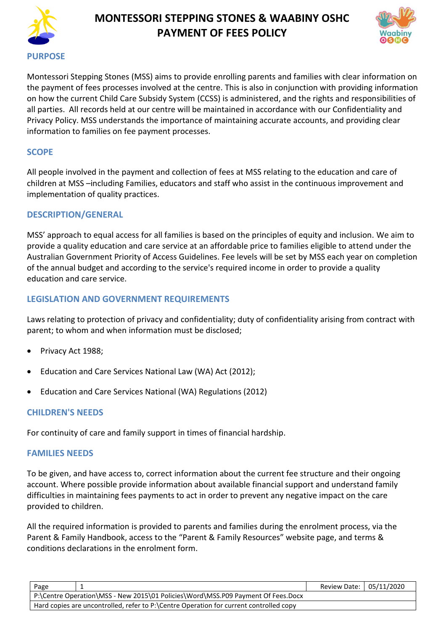



Montessori Stepping Stones (MSS) aims to provide enrolling parents and families with clear information on the payment of fees processes involved at the centre. This is also in conjunction with providing information on how the current Child Care Subsidy System (CCSS) is administered, and the rights and responsibilities of all parties. All records held at our centre will be maintained in accordance with our Confidentiality and Privacy Policy. MSS understands the importance of maintaining accurate accounts, and providing clear information to families on fee payment processes.

### **SCOPE**

All people involved in the payment and collection of fees at MSS relating to the education and care of children at MSS –including Families, educators and staff who assist in the continuous improvement and implementation of quality practices.

#### **DESCRIPTION/GENERAL**

MSS' approach to equal access for all families is based on the principles of equity and inclusion. We aim to provide a quality education and care service at an affordable price to families eligible to attend under the Australian Government Priority of Access Guidelines. Fee levels will be set by MSS each year on completion of the annual budget and according to the service's required income in order to provide a quality education and care service.

### **LEGISLATION AND GOVERNMENT REQUIREMENTS**

Laws relating to protection of privacy and confidentiality; duty of confidentiality arising from contract with parent; to whom and when information must be disclosed;

- Privacy Act 1988;
- Education and Care Services National Law (WA) Act (2012);
- Education and Care Services National (WA) Regulations (2012)

## **CHILDREN'S NEEDS**

For continuity of care and family support in times of financial hardship.

#### **FAMILIES NEEDS**

To be given, and have access to, correct information about the current fee structure and their ongoing account. Where possible provide information about available financial support and understand family difficulties in maintaining fees payments to act in order to prevent any negative impact on the care provided to children.

All the required information is provided to parents and families during the enrolment process, via the Parent & Family Handbook, access to the "Parent & Family Resources" website page, and terms & conditions declarations in the enrolment form.

| Page                                                                                   | Review Date: 05/11/2020 |  |  |  |
|----------------------------------------------------------------------------------------|-------------------------|--|--|--|
| P:\Centre Operation\MSS - New 2015\01 Policies\Word\MSS.P09 Payment Of Fees.Docx       |                         |  |  |  |
| Hard copies are uncontrolled, refer to P:\Centre Operation for current controlled copy |                         |  |  |  |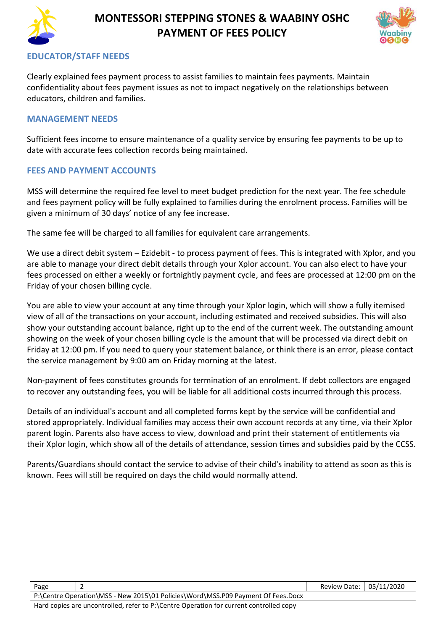



### **EDUCATOR/STAFF NEEDS**

Clearly explained fees payment process to assist families to maintain fees payments. Maintain confidentiality about fees payment issues as not to impact negatively on the relationships between educators, children and families.

#### **MANAGEMENT NEEDS**

Sufficient fees income to ensure maintenance of a quality service by ensuring fee payments to be up to date with accurate fees collection records being maintained.

#### **FEES AND PAYMENT ACCOUNTS**

MSS will determine the required fee level to meet budget prediction for the next year. The fee schedule and fees payment policy will be fully explained to families during the enrolment process. Families will be given a minimum of 30 days' notice of any fee increase.

The same fee will be charged to all families for equivalent care arrangements.

We use a direct debit system – Ezidebit - to process payment of fees. This is integrated with Xplor, and you are able to manage your direct debit details through your Xplor account. You can also elect to have your fees processed on either a weekly or fortnightly payment cycle, and fees are processed at 12:00 pm on the Friday of your chosen billing cycle.

You are able to view your account at any time through your Xplor login, which will show a fully itemised view of all of the transactions on your account, including estimated and received subsidies. This will also show your outstanding account balance, right up to the end of the current week. The outstanding amount showing on the week of your chosen billing cycle is the amount that will be processed via direct debit on Friday at 12:00 pm. If you need to query your statement balance, or think there is an error, please contact the service management by 9:00 am on Friday morning at the latest.

Non-payment of fees constitutes grounds for termination of an enrolment. If debt collectors are engaged to recover any outstanding fees, you will be liable for all additional costs incurred through this process.

Details of an individual's account and all completed forms kept by the service will be confidential and stored appropriately. Individual families may access their own account records at any time, via their Xplor parent login. Parents also have access to view, download and print their statement of entitlements via their Xplor login, which show all of the details of attendance, session times and subsidies paid by the CCSS.

Parents/Guardians should contact the service to advise of their child's inability to attend as soon as this is known. Fees will still be required on days the child would normally attend.

| Page                                                                                   |  | Review Date: 05/11/2020 |  |  |
|----------------------------------------------------------------------------------------|--|-------------------------|--|--|
| P:\Centre Operation\MSS - New 2015\01 Policies\Word\MSS.P09 Payment Of Fees.Docx       |  |                         |  |  |
| Hard copies are uncontrolled, refer to P:\Centre Operation for current controlled copy |  |                         |  |  |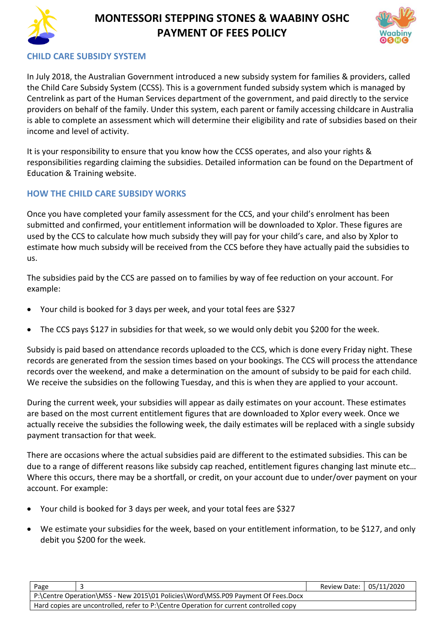



## **CHILD CARE SUBSIDY SYSTEM**

In July 2018, the Australian Government introduced a new subsidy system for families & providers, called the Child Care Subsidy System (CCSS). This is a government funded subsidy system which is managed by Centrelink as part of the Human Services department of the government, and paid directly to the service providers on behalf of the family. Under this system, each parent or family accessing childcare in Australia is able to complete an assessment which will determine their eligibility and rate of subsidies based on their income and level of activity.

It is your responsibility to ensure that you know how the CCSS operates, and also your rights & responsibilities regarding claiming the subsidies. Detailed information can be found on the Department of Education & Training website.

## **HOW THE CHILD CARE SUBSIDY WORKS**

Once you have completed your family assessment for the CCS, and your child's enrolment has been submitted and confirmed, your entitlement information will be downloaded to Xplor. These figures are used by the CCS to calculate how much subsidy they will pay for your child's care, and also by Xplor to estimate how much subsidy will be received from the CCS before they have actually paid the subsidies to us.

The subsidies paid by the CCS are passed on to families by way of fee reduction on your account. For example:

- Your child is booked for 3 days per week, and your total fees are \$327
- The CCS pays \$127 in subsidies for that week, so we would only debit you \$200 for the week.

Subsidy is paid based on attendance records uploaded to the CCS, which is done every Friday night. These records are generated from the session times based on your bookings. The CCS will process the attendance records over the weekend, and make a determination on the amount of subsidy to be paid for each child. We receive the subsidies on the following Tuesday, and this is when they are applied to your account.

During the current week, your subsidies will appear as daily estimates on your account. These estimates are based on the most current entitlement figures that are downloaded to Xplor every week. Once we actually receive the subsidies the following week, the daily estimates will be replaced with a single subsidy payment transaction for that week.

There are occasions where the actual subsidies paid are different to the estimated subsidies. This can be due to a range of different reasons like subsidy cap reached, entitlement figures changing last minute etc… Where this occurs, there may be a shortfall, or credit, on your account due to under/over payment on your account. For example:

- Your child is booked for 3 days per week, and your total fees are \$327
- We estimate your subsidies for the week, based on your entitlement information, to be \$127, and only debit you \$200 for the week.

| Page                                                                                   |  | Review Date: 05/11/2020 |  |  |
|----------------------------------------------------------------------------------------|--|-------------------------|--|--|
| P:\Centre Operation\MSS - New 2015\01 Policies\Word\MSS.P09 Payment Of Fees.Docx       |  |                         |  |  |
| Hard copies are uncontrolled, refer to P:\Centre Operation for current controlled copy |  |                         |  |  |